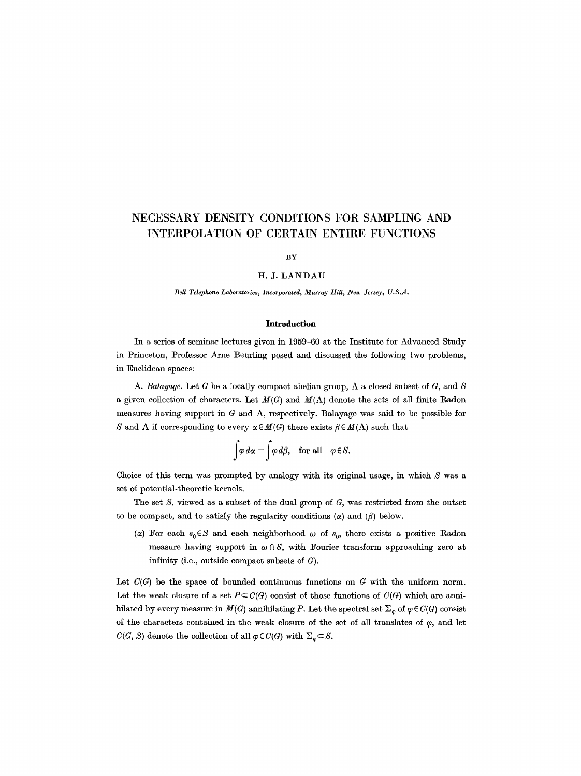# **NECESSARY DENSITY CONDITIONS FOR SAMPLING AND INTERPOLATION OF CERTAIN ENTIRE FUNCTIONS**

### BY

#### H. J. LANDAU

*Bell Telephone Laboratories, Incorporated, Murray Hill, New Jersey, U.S.A.* 

#### **Introduction**

In a series of seminar lectures given in 1959-60 at the Institute for Advanced Study in Princeton, Professor Arne Beurling posed and discussed the following two problems, in Euclidean spaces:

A. *Balayage*. Let G be a locally compact abelian group,  $\Lambda$  a closed subset of G, and S a given collection of characters. Let  $M(G)$  and  $M(\Lambda)$  denote the sets of all finite Radon measures having support in  $G$  and  $\Lambda$ , respectively. Balayage was said to be possible for S and  $\Lambda$  if corresponding to every  $\alpha \in M(G)$  there exists  $\beta \in M(\Lambda)$  such that

$$
\int \varphi \, d\alpha = \int \varphi \, d\beta, \quad \text{for all} \quad \varphi \in S.
$$

Choice of this term was prompted by analogy with its original usage, in which S was a set of potential-theoretic kernels.

The set  $S$ , viewed as a subset of the dual group of  $G$ , was restricted from the outset to be compact, and to satisfy the regularity conditions  $(\alpha)$  and  $(\beta)$  below.

( $\alpha$ ) For each  $s_0 \in S$  and each neighborhood  $\omega$  of  $s_0$ , there exists a positive Radon measure having support in  $\omega \cap S$ , with Fourier transform approaching zero at infinity (i.e., outside compact subsets of G).

Let  $C(G)$  be the space of bounded continuous functions on G with the uniform norm. Let the weak closure of a set  $P \subset C(G)$  consist of those functions of  $C(G)$  which are annihilated by every measure in  $M(G)$  annihilating P. Let the spectral set  $\Sigma_{\varphi}$  of  $\varphi \in C(G)$  consist of the characters contained in the weak closure of the set of all translates of  $\varphi$ , and let  $C(G, S)$  denote the collection of all  $\varphi \in C(G)$  with  $\Sigma_{\varphi} \subset S$ .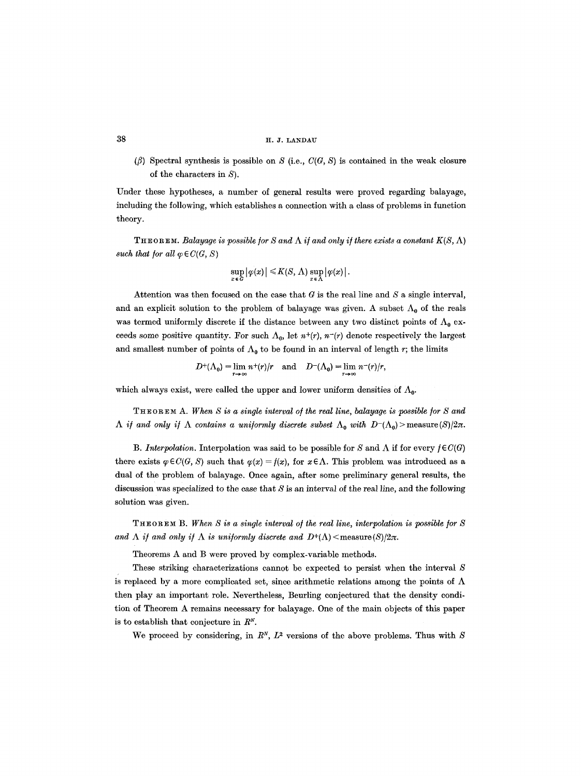( $\beta$ ) Spectral synthesis is possible on S (i.e.,  $C(G, S)$  is contained in the weak closure of the characters in S).

Under these hypotheses, a number of general results were proved regarding balayage, including the following, which establishes a connection with a class of problems in function theory.

**THEOREM.** *Balayage is possible for S and*  $\Lambda$  *if and only if there exists a constant*  $K(S, \Lambda)$ *such that for all*  $\varphi \in C(G, S)$ 

$$
\sup_{x \in G} |\varphi(x)| \leq K(S, \Lambda) \sup_{x \in \Lambda} |\varphi(x)|.
$$

Attention was then focused on the case that  $G$  is the real line and  $S$  a single interval, and an explicit solution to the problem of balayage was given. A subset  $\Lambda_0$  of the reals was termed uniformly discrete if the distance between any two distinct points of  $\Lambda_0$  exceeds some positive quantity. For such  $\Lambda_0$ , let  $n^+(r)$ ,  $n^-(r)$  denote respectively the largest and smallest number of points of  $\Lambda_0$  to be found in an interval of length r; the limits

$$
D^{+}(\Lambda_0) = \lim_{r \to \infty} n^{+}(r)/r \quad \text{and} \quad D^{-}(\Lambda_0) = \lim_{r \to \infty} n^{-}(r)/r,
$$

which always exist, were called the upper and lower uniform densities of  $\Lambda_{0}$ .

THEOREM A. When S is a single interval of the real line, balayage is possible for S and  $\Lambda$  *if and only if*  $\Lambda$  *contains a uniformly discrete subset*  $\Lambda_0$  *with*  $D^-(\Lambda_0)$  measure(S)/2 $\pi$ .

*B. Interpolation.* Interpolation was said to be possible for S and  $\Lambda$  if for every  $f \in C(G)$ there exists  $\varphi \in C(G, S)$  such that  $\varphi(x) = f(x)$ , for  $x \in \Lambda$ . This problem was introduced as a dual of the problem of balayage. Once again, after some preliminary general results, the discussion was specialized to the case that  $S$  is an interval of the real line, and the following solution was given.

THEOREM B. When S is a single interval of the real line, interpolation is possible for S and  $\Lambda$  if and only if  $\Lambda$  is uniformly discrete and  $D^+(\Lambda)$  < measure (S)/2 $\pi$ .

Theorems A and B were proved by complex-variable methods.

These striking characterizations cannot be expected to persist when the interval S is replaced by a more complicated set, since arithmetic relations among the points of  $\Lambda$ then play an important role. Nevertheless, Beurling conjectured that the density condition of Theorem A remains necessary for balayage. One of the main objects of this paper is to establish that conjecture in  $R<sup>N</sup>$ .

We proceed by considering, in  $R^N$ ,  $L^2$  versions of the above problems. Thus with S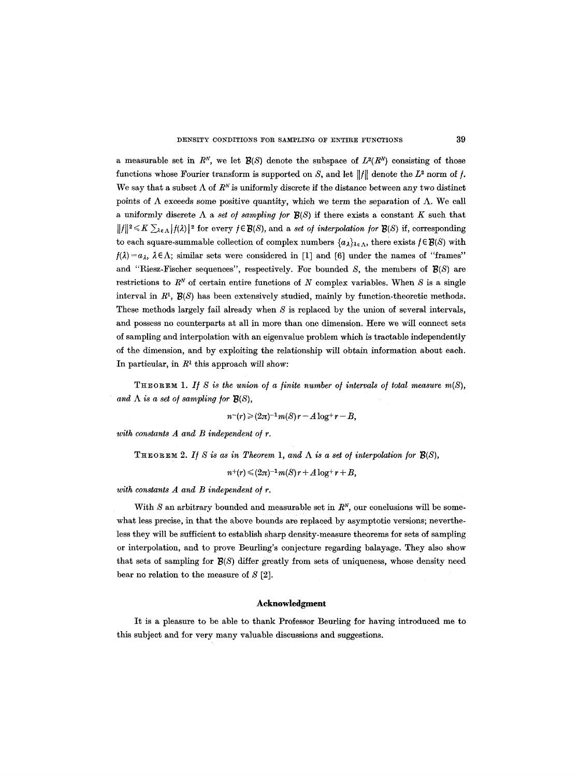a measurable set in  $R^N$ , we let  $\mathcal{B}(S)$  denote the subspace of  $L^2(R^N)$  consisting of those functions whose Fourier transform is supported on S, and let  $||f||$  denote the  $L^2$  norm of f. We say that a subset  $\Lambda$  of  $R^N$  is uniformly discrete if the distance between any two distinct points of  $\Lambda$  exceeds some positive quantity, which we term the separation of  $\Lambda$ . We call a uniformly discrete  $\Lambda$  a *set of sampling for*  $\mathcal{B}(S)$  if there exists a constant K such that  $||f||^2 \leq K \sum_{k \in \Lambda} |f(\lambda)|^2$  for every  $f \in \mathcal{B}(S)$ , and a *set of interpolation for*  $\mathcal{B}(S)$  if, corresponding to each square-summable collection of complex numbers  $\{a_\lambda\}_{\lambda \in \Lambda}$ , there exists  $f \in \mathcal{B}(S)$  with  $f(\lambda) = a_{\lambda}, \lambda \in \Lambda$ ; similar sets were considered in [1] and [6] under the names of "frames" and "Riesz-Fischer sequences", respectively. For bounded  $S$ , the members of  $\mathcal{B}(S)$  are restrictions to  $R<sup>N</sup>$  of certain entire functions of N complex variables. When S is a single interval in  $R^1$ ,  $\mathcal{B}(S)$  has been extensively studied, mainly by function-theoretic methods. These methods largely fail already when  $S$  is replaced by the union of several intervals, and possess no counterparts at all in more than one dimension. Here we will connect sets of sampling and interpolation with an eigenvalue problem which is tractable independently of the dimension, and by exploiting the relationship will obtain information about each. In particular, in  $R<sup>1</sup>$  this approach will show:

**THEOREM 1.** If S is the union of a finite number of intervals of total measure  $m(S)$ , *and*  $\Lambda$  *is a set of sampling for*  $\mathbf{B}(S)$ *,* 

$$
n^{-}(r) \geq (2\pi)^{-1} m(S) r - A \log^+ r - B,
$$

*with constants A and B independent of r.* 

THEOREM 2. If S is as in Theorem 1, and  $\Lambda$  is a set of interpolation for  $\mathcal{B}(S)$ ,

 $n^{+}(r) \leq (2\pi)^{-1} m(S) r + A \log^+ r + B$ ,

*with constants A and B independent o/r.* 

With  $S$  an arbitrary bounded and measurable set in  $R^N$ , our conclusions will be somewhat less precise, in that the above bounds are replaced by asymptotic versions; nevertheless they will be sufficient to establish sharp density-measure theorems for sets of sampling or interpolation, and to prove Beurling's conjecture regarding balayage. They also show that sets of sampling for  $\mathcal{B}(S)$  differ greatly from sets of uniqueness, whose density need bear no relation to the measure of  $S$  [2].

## **Acknowledgment**

It is a pleasure to be able to thank Professor Beurling for having introduced me to this subject and for very many valuable discussions and suggestions.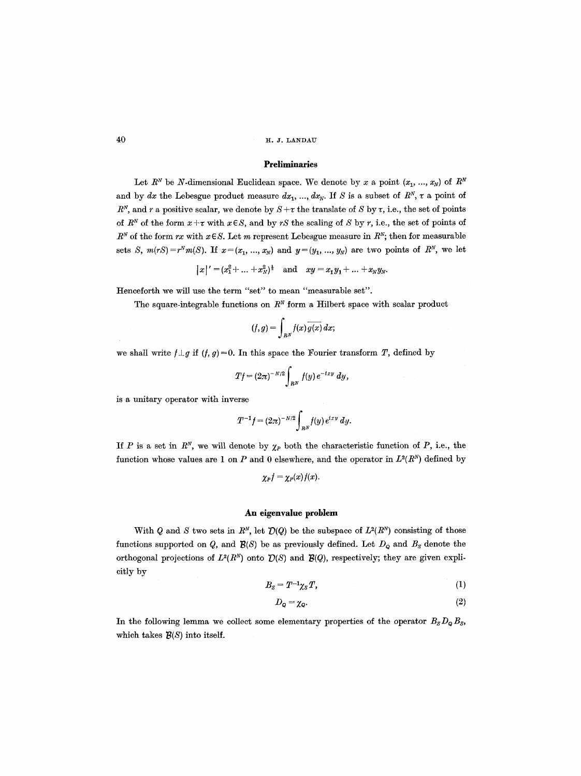# Preliminaries

Let  $R^N$  be N-dimensional Euclidean space. We denote by x a point  $(x_1, ..., x_N)$  of  $R^N$ and by dx the Lebesgue product measure  $dx_1, ..., dx_N$ . If S is a subset of  $R^N$ ,  $\tau$  a point of  $R^N$ , and r a positive scalar, we denote by  $S + \tau$  the translate of S by  $\tau$ , i.e., the set of points of  $R^N$  of the form  $x+\tau$  with  $x\in S$ , and by *rS* the scaling of S by *r*, i.e., the set of points of  $R^N$  of the form rx with  $x \in S$ . Let m represent Lebesgue measure in  $R^N$ ; then for measurable sets *S*,  $m(rS) = r^N m(S)$ . If  $x = (x_1, ..., x_N)$  and  $y = (y_1, ..., y_N)$  are two points of  $R^N$ , we let

$$
|x|' = (x_1^2 + ... + x_N^2)^{\frac{1}{2}}
$$
 and  $xy = x_1y_1 + ... + x_Ny_N$ .

Henceforth we will use the term "set" to mean "measurable set".

The square-integrable functions on  $R<sup>N</sup>$  form a Hilbert space with scalar product

$$
(f,g)=\int_{R^N}f(x)\overline{g(x)}\,dx;
$$

we shall write  $f \perp g$  if  $(f, g)=0$ . In this space the Fourier transform T, defined by

$$
Tf = (2\pi)^{-N/2} \int_{R^N} f(y) e^{-ixy} dy,
$$

is a unitary operator with inverse

$$
T^{-1}f = (2\pi)^{-N/2} \int_{R^N} f(y) e^{ixy} dy.
$$

If P is a set in  $R^N$ , we will denote by  $\chi_P$  both the characteristic function of P, i.e., the function whose values are 1 on P and 0 elsewhere, and the operator in  $L^2(R^N)$  defined by

$$
\chi_P f = \chi_P(x) f(x).
$$

## **An eigenvalue problem**

With Q and S two sets in  $R^N$ , let  $\mathcal{D}(Q)$  be the subspace of  $L^2(R^N)$  consisting of those functions supported on  $Q$ , and  $\mathcal{B}(S)$  be as previously defined. Let  $D_Q$  and  $B_S$  denote the orthogonal projections of  $L^2(R^N)$  onto  $\mathcal{D}(S)$  and  $\mathcal{B}(Q)$ , respectively; they are given explicitly by

$$
B_S = T^{-1}\chi_S T,\tag{1}
$$

$$
D_{\mathsf{Q}} = \chi_{\mathsf{Q}}.\tag{2}
$$

In the following lemma we collect some elementary properties of the operator  $B_sD_{\mathbf{Q}}B_s$ , which takes  $\mathcal{B}(S)$  into itself.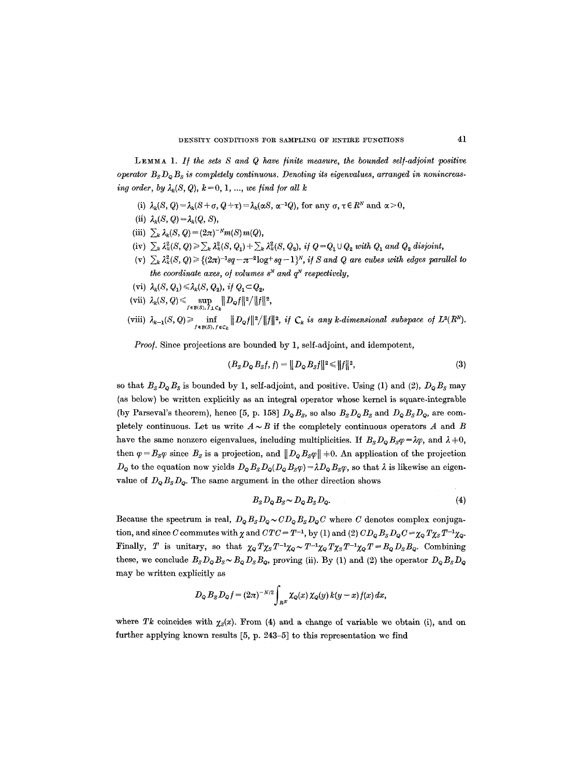LEMMA 1. If the sets S and Q have finite measure, the bounded self-adjoint positive *operator Bs DQ Bs is completely continuous. Denoting its eigenvalues, arranged in nonincreasing order, by*  $\lambda_k(S, Q)$ ,  $k = 0, 1, ...,$  *we find for all k* 

- (i)  $\lambda_k(S, Q) = \lambda_k(S+\sigma, Q+\tau) = \lambda_k(\alpha S, \alpha^{-1}Q)$ , for any  $\sigma, \tau \in \mathbb{R}^N$  and  $\alpha > 0$ ,
- (ii)  $\lambda_k(S, Q) = \lambda_k(Q, S)$ ,
- (iii)  $\sum_{k} \lambda_k(S, Q) = (2\pi)^{-N} m(S) m(Q),$
- (iv)  $\sum_k \lambda_k^2(S, Q) \geq \sum_k \lambda_k^2(S, Q_1) + \sum_k \lambda_k^2(S, Q_2)$ , if  $Q = Q_1 \cup Q_2$  with  $Q_1$  and  $Q_2$  disjoint,
- (v)  $\sum_k \lambda_k^2(S, Q) \geq \{(2\pi)^{-1}sq \pi^{-2}\log^+ sq 1\}^N$ , *if* S and Q are cubes with edges parallel to *the coordinate axes, of volumes*  $s^N$  *and*  $q^N$  *respectively,*
- (vi)  $\lambda_k(S, Q_1) \leq \lambda_k(S, Q_2)$ , *if*  $Q_1 \subset Q_2$ ,
- $\mathcal{O}(\text{vii}) \ \ \lambda_k(\mathcal{S},\mathcal{Q}) \leqslant \sup_{f \in \mathcal{B}(\mathcal{S}),\,f\perp \mathcal{C}_k} \lVert D_{\mathcal{Q}} f \rVert^2 / \lVert f \rVert^2,$
- (viii)  $\lambda_{k-1}(S, Q) \ge \inf_{f \in B(S), f \in C_k} ||D_Qf||^2/||f||^2$ , if  $C_k$  is any k-dimensional subspace of  $L^2(R^N)$ .

*Proo/.* Since projections are bounded by 1, self-adjoint, and idempotent,

$$
(B_s D_{\mathbf{Q}} B_s f, f) = ||D_{\mathbf{Q}} B_s f||^2 \le ||f||^2,
$$
\n(3)

so that  $B_s D_\varphi B_s$  is bounded by 1, self-adjoint, and positive. Using (1) and (2),  $D_\varphi B_s$  may (as below) be written explicitly as an integral operator whose kernel is square-integrable (by Parseval's theorem), hence [5, p. 158]  $D_{\mathbf{Q}}B_{\mathbf{S}}$ , so also  $B_{\mathbf{S}}D_{\mathbf{Q}}B_{\mathbf{S}}$  and  $D_{\mathbf{Q}}B_{\mathbf{S}}D_{\mathbf{Q}}$ , are completely continuous. Let us write  $A \sim B$  if the completely continuous operators A and B have the same nonzero eigenvalues, including multiplicities. If  $B_s D_\phi B_s \varphi = \lambda \varphi$ , and  $\lambda = 0$ , then  $\varphi = B_s \varphi$  since  $B_s$  is a projection, and  $||D_{\varphi} B_s \varphi|| = 0$ . An application of the projection  $D_Q$  to the equation now yields  $D_QB_SD_Q(D_QB_S\varphi)=\lambda D_QB_S\varphi$ , so that  $\lambda$  is likewise an eigenvalue of  $D_{\mathbf{Q}}B_{\mathbf{S}}D_{\mathbf{Q}}$ . The same argument in the other direction shows

$$
B_s D_{\mathbf{Q}} B_s \sim D_{\mathbf{Q}} B_s D_{\mathbf{Q}}.\tag{4}
$$

Because the spectrum is real,  $D_{\mathbf{Q}}B_{S}D_{\mathbf{Q}} \sim CD_{\mathbf{Q}}B_{S}D_{\mathbf{Q}}C$  where C denotes complex conjugation, and since C commutes with  $\chi$  and  $CTC = T^{-1}$ , by (1) and (2)  $CD_{\mathbf{Q}}B_{\mathbf{S}}D_{\mathbf{Q}}C = \chi_{\mathbf{Q}}T\chi_{\mathbf{S}}T^{-1}\chi_{\mathbf{Q}}$ . Finally, T is unitary, so that  $\chi_{\mathsf{Q}} T \chi_{\mathsf{S}} T^{-1} \chi_{\mathsf{Q}} {\sim} T^{-1} \chi_{\mathsf{Q}} T \chi_{\mathsf{S}} T^{-1} \chi_{\mathsf{Q}} T = B_{\mathsf{Q}} D_{\mathsf{S}} B_{\mathsf{Q}}$ . Combining these, we conclude  $B_S D_Q B_S \sim B_Q D_S B_Q$ , proving (ii). By (1) and (2) the operator  $D_Q B_S D_Q$ may be written explicitly as

$$
D_{\mathcal{Q}} B_{\mathcal{S}} D_{\mathcal{Q}} f = (2\pi)^{-N/2} \int_{R^N} \chi_{\mathcal{Q}}(x) \, \chi_{\mathcal{Q}}(y) \, k(y-x) \, f(x) \, dx,
$$

where Tk coincides with  $\chi_s(x)$ . From (4) and a change of variable we obtain (i), and on further applying known results [5, p. 243-5] to this representation we find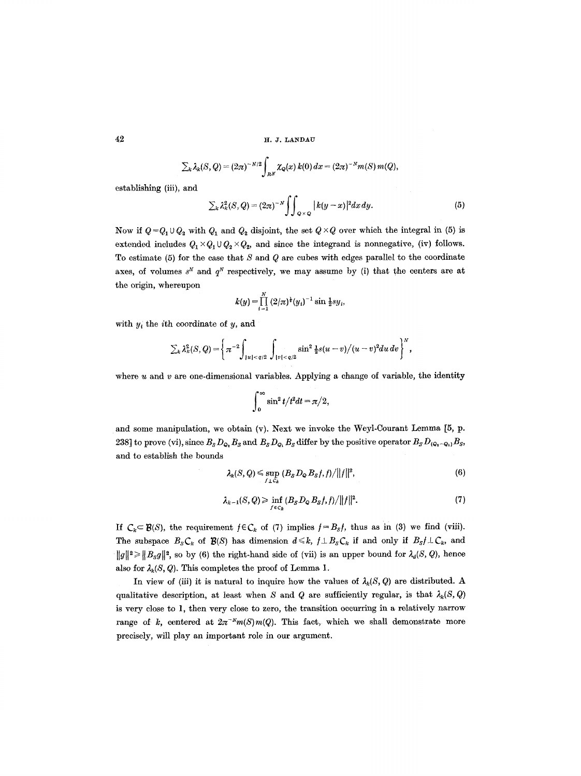$$
\sum_{k} \lambda_k(S,Q) = (2\pi)^{-N/2} \int_{R^N} \chi_Q(x) k(0) dx = (2\pi)^{-N} m(S) m(Q),
$$

establishing (iii), and

$$
\sum_{k} \lambda_k^2(S, Q) = (2\pi)^{-N} \int \int_{Q \times Q} |k(y - x)|^2 dx dy. \tag{5}
$$

Now if  $Q = Q_1 \cup Q_2$  with  $Q_1$  and  $Q_2$  disjoint, the set  $Q \times Q$  over which the integral in (5) is extended includes  $Q_1 \times Q_1 \cup Q_2 \times Q_2$ , and since the integrand is nonnegative, (iv) follows. To estimate (5) for the case that  $S$  and  $Q$  are cubes with edges parallel to the coordinate axes, of volumes  $s^N$  and  $q^N$  respectively, we may assume by (i) that the centers are at the origin, whereupon

$$
k(y) = \prod_{i=1}^{N} (2/\pi)^{\frac{1}{2}} (y_i)^{-1} \sin \frac{1}{2} s y_i,
$$

with  $y_i$  the *i*th coordinate of  $y$ , and

$$
\sum_{k} \lambda_{k}^{2}(S,Q) = \left\{ \pi^{-2} \int_{|u| < q/2} \int_{|v| < q/2} \sin^{2} \frac{1}{2} s(u-v)/(u-v)^{2} du dv \right\}^{N},
$$

where  $u$  and  $v$  are one-dimensional variables. Applying a change of variable, the identity

$$
\int_0^\infty \sin^2 t/t^2 dt = \pi/2,
$$

and some manipulation, we obtain (v). Next we invoke the Weyl-Courant Lemma [5, p. 238] to prove (vi), since  $B_s D_{Q_2} B_s$  and  $B_s D_{Q_1} B_s$  differ by the positive operator  $B_s D_{(Q_2-Q_1)} B_s$ , and to establish the bounds

$$
\lambda_k(S,Q) \leq \sup_{f \perp C_k} \left( B_S D_Q B_S f, f \right) / ||f||^2, \tag{6}
$$

$$
\lambda_{k-1}(S,Q) \geq \inf_{f \in C_k} (B_S D_Q B_S f,f)/\|f\|^2. \tag{7}
$$

If  $C_k \subset \mathcal{B}(S)$ , the requirement  $f \in C_k$  of (7) implies  $f = B_s f$ , thus as in (3) we find (viii). The subspace  $B_sC_k$  of  $\mathcal{B}(S)$  has dimension  $d \leq k$ ,  $f \perp B_sC_k$  if and only if  $B_s f \perp C_k$ , and  $||g||^2 \ge ||B_s g||^2$ , so by (6) the right-hand side of (vii) is an upper bound for  $\lambda_d(S, Q)$ , hence also for  $\lambda_k(S, Q)$ . This completes the proof of Lemma 1.

In view of (iii) it is natural to inquire how the values of  $\lambda_k(S, Q)$  are distributed. A qualitative description, at least when S and Q are sufficiently regular, is that  $\lambda_k(S, Q)$ is very close to 1, then very close to zero, the transition occurring in a relatively narrow range of k, centered at  $2\pi^{-N}m(S)m(Q)$ . This fact, which we shall demonstrate more precisely, will play an important role in our argument.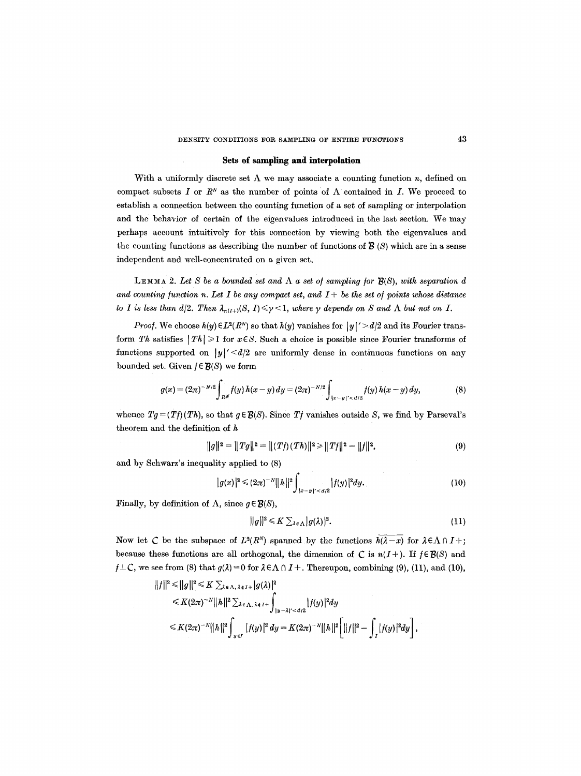# DENSITY CONDITIONS FOR SAMPLING OF ENTIRE FUNCTIONS 43

# **Sets of sampling and interpolation**

With a uniformly discrete set  $\Lambda$  we may associate a counting function n, defined on compact subsets I or  $R^N$  as the number of points of  $\Lambda$  contained in I. We proceed to establish a connection between the counting function of a set of sampling or interpolation and the behavior of certain of the eigenvalues introduced in the last section. We may perhaps account intuitively for this connection by viewing both the eigenvalues and the counting functions as describing the number of functions of  $\mathcal{B}$  (S) which are in a sense independent and well-concentrated on a given set.

**LEMMA 2.** Let S be a bounded set and  $\Lambda$  a set of sampling for  $\mathbf{B}(S)$ , with separation d and counting function n. Let I be any compact set, and  $I +$  be the set of points whose distance *to I is less than d/2. Then*  $\lambda_{n(I+)}(S, I) \leq \gamma \leq 1$ , where  $\gamma$  depends on S and  $\Lambda$  but not on I.

*Proof.* We choose  $h(y) \in L^2(R^N)$  so that  $h(y)$  vanishes for  $|y|' > d/2$  and its Fourier transform *Th* satisfies  $| Th | \geq 1$  for  $x \in S$ . Such a choice is possible since Fourier transforms of functions supported on  $|y|' \le d/2$  are uniformly dense in continuous functions on any bounded set. Given  $f \in \mathcal{B}(S)$  we form

$$
g(x) = (2\pi)^{-N/2} \int_{R^N} f(y) \, h(x-y) \, dy = (2\pi)^{-N/2} \int_{|x-y|' < \, d/2} f(y) \, h(x-y) \, dy,\tag{8}
$$

whence  $Tg = (Tf)(Th)$ , so that  $g \in \mathcal{B}(S)$ . Since  $Tf$  vanishes outside S, we find by Parseval's theorem and the definition of  $h$ 

 $\overline{a}$ 

$$
||g||2 = ||Tg||2 = ||(Tf)(Th)||2 \ge ||Tf||2 = ||f||2,
$$
\n(9)

and by Schwarz's inequality applied to (8)

$$
|g(x)|^2 \leq (2\pi)^{-N} ||h||^2 \int_{|x-y|' < d/2} |f(y)|^2 dy. \tag{10}
$$

Finally, by definition of  $\Lambda$ , since  $g \in \mathcal{B}(S)$ ,

$$
||g||^2 \leq K \sum_{\lambda \in \Lambda} |g(\lambda)|^2. \tag{11}
$$

Now let C be the subspace of  $L^2(R^N)$  spanned by the functions  $h(\lambda-x)$  for  $\lambda \in \Lambda \cap I+$ ; because these functions are all orthogonal, the dimension of C is  $n(I+)$ . If  $f \in \mathcal{B}(S)$  and  $f \perp \mathcal{C}$ , we see from (8) that  $g(\lambda) = 0$  for  $\lambda \in \Lambda \cap I +$ . Thereupon, combining (9), (11), and (10),

$$
||f||^{2} \leq ||g||^{2} \leq K \sum_{\lambda \in \Lambda, \lambda \in I^{+}} |g(\lambda)|^{2}
$$
  
\n
$$
\leq K(2\pi)^{-N}||h||^{2} \sum_{\lambda \in \Lambda, \lambda \in I^{+}} \int_{|y-\lambda|' < d/2} |f(y)|^{2} dy
$$
  
\n
$$
\leq K(2\pi)^{-N}||h||^{2} \int_{y \in I} |f(y)|^{2} dy = K(2\pi)^{-N}||h||^{2} \Big[ ||f||^{2} - \int_{I} |f(y)|^{2} dy \Big],
$$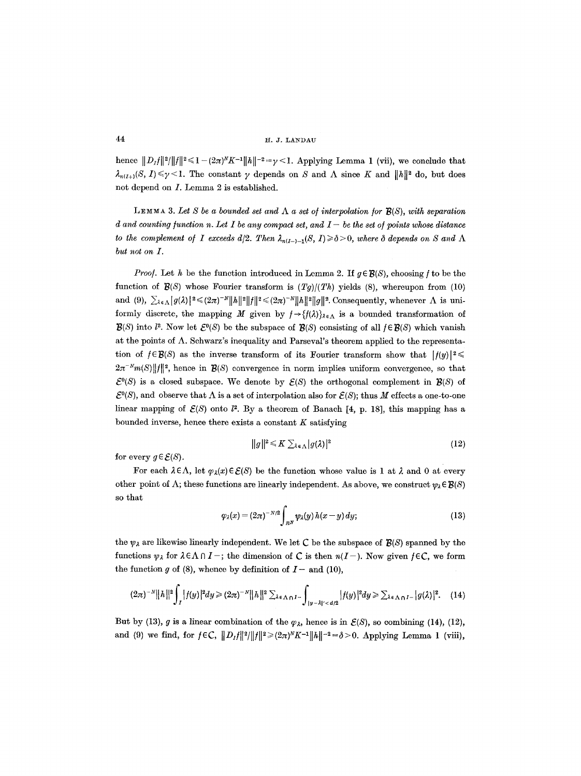hence  $||D_f||^2/||f||^2 \leq 1 - (2\pi)^N K^{-1}||h||^{-2} = \gamma < 1$ . Applying Lemma 1 (vii), we conclude that  $\lambda_{n(I+)}(S, I) \leq \gamma \leq 1$ . The constant  $\gamma$  depends on S and  $\Lambda$  since K and  $||h||^2$  do, but does not depend on I. Lemma 2 is established.

**LEMMA** 3. Let S be a bounded set and  $\Lambda$  a set of interpolation for  $\mathcal{B}(S)$ , with separation *d and counting function n. Let I be any compact set, and*  $I-b$  *the set of points whose distance to the complement of I exceeds d/2. Then*  $\lambda_{n(I-)-1}(S, I) \ge \delta > 0$ , where  $\delta$  depends on S and  $\Lambda$ *but not on I.* 

*Proof.* Let h be the function introduced in Lemma 2. If  $g \in \mathcal{B}(S)$ , choosing f to be the function of  $\mathcal{B}(S)$  whose Fourier transform is  $(Tg)/(Th)$  yields (8), whereupon from (10) and (9),  $\sum_{\lambda \in \Lambda} |g(\lambda)|^2 \leq (2\pi)^{-N} ||h||^2 ||f||^2 \leq (2\pi)^{-N} ||h||^2 ||g||^2$ . Consequently, whenever  $\Lambda$  is uniformly discrete, the mapping M given by  $f \rightarrow \{f(\lambda)\}_{\lambda \in \Lambda}$  is a bounded transformation of  $\mathcal{B}(S)$  into  $l^2$ . Now let  $\mathcal{E}^0(S)$  be the subspace of  $\mathcal{B}(S)$  consisting of all  $f \in \mathcal{B}(S)$  which vanish at the points of  $\Lambda$ . Schwarz's inequality and Parseval's theorem applied to the representation of  $f \in \mathcal{B}(S)$  as the inverse transform of its Fourier transform show that  $|f(y)|^2 \leq$  $2\pi^{-N}m(S)\|f\|^2$ , hence in *B(S)* convergence in norm implies uniform convergence, so that  $\mathcal{E}^0(S)$  is a closed subspace. We denote by  $\mathcal{E}(S)$  the orthogonal complement in  $\mathcal{B}(S)$  of  $\mathcal{E}^0(S)$ , and observe that  $\Lambda$  is a set of interpolation also for  $\mathcal{E}(S)$ ; thus M effects a one-to-one linear mapping of  $\mathcal{E}(S)$  onto  $l^2$ . By a theorem of Banach [4, p. 18], this mapping has a bounded inverse, hence there exists a constant  $K$  satisfying

$$
||g||^2 \leq K \sum_{\lambda \in \Lambda} |g(\lambda)|^2
$$
 (12)

for every  $g \in \mathcal{E}(S)$ .

For each  $\lambda \in \Lambda$ , let  $\varphi_{\lambda}(x) \in \mathcal{E}(S)$  be the function whose value is 1 at  $\lambda$  and 0 at every other point of  $\Lambda$ ; these functions are linearly independent. As above, we construct  $\psi_{\lambda} \in \mathcal{B}(S)$ so that

$$
\varphi_{\lambda}(x) = (2\pi)^{-N/2} \int_{R^N} \psi_{\lambda}(y) h(x - y) dy; \qquad (13)
$$

the  $\psi_{\lambda}$  are likewise linearly independent. We let C be the subspace of  $\mathcal{B}(S)$  spanned by the functions  $\psi_{\lambda}$  for  $\lambda \in \Lambda \cap I^-$ ; the dimension of C is then  $n(I^-)$ . Now given  $f \in \mathbb{C}$ , we form the function g of (8), whence by definition of  $I-$  and (10),

$$
(2\pi)^{-N}||h||^2\int_I |f(y)|^2 dy \ge (2\pi)^{-N}||h||^2 \sum_{\lambda \in \Lambda} |f(y)|^2 dy \ge \sum_{\lambda \in \Lambda} |f(y)|^2 dy \ge \sum_{\lambda \in \Lambda} |g(\lambda)|^2. \tag{14}
$$

But by (13), g is a linear combination of the  $\varphi_{\lambda}$ , hence is in  $\mathcal{E}(S)$ , so combining (14), (12), and (9) we find, for  $f \in C$ ,  $||D_1f||^2/||f||^2 \geq (2\pi)^N K^{-1}||h||^{-2} = \delta > 0$ . Applying Lemma 1 (viii),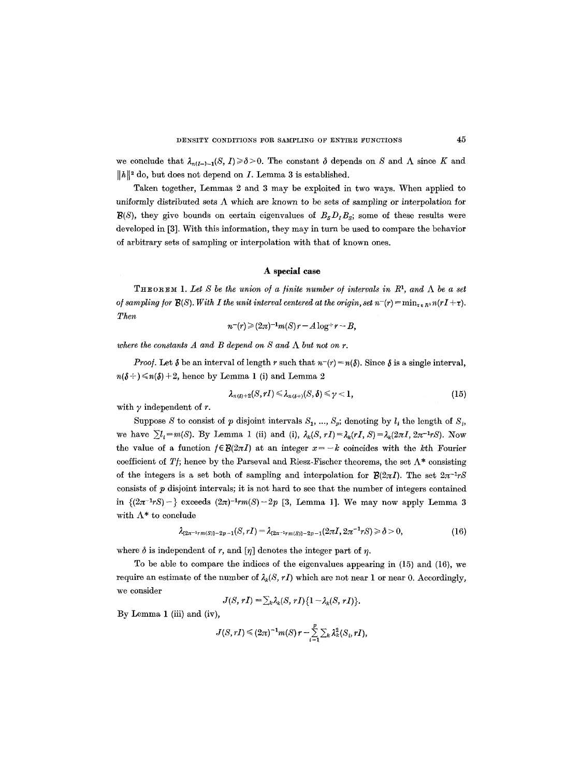we conclude that  $\lambda_{n(I-)-1}(S, I) \ge \delta > 0$ . The constant  $\delta$  depends on S and  $\Lambda$  since K and  $||h||^2$  do, but does not depend on *I*. Lemma 3 is established.

Taken together, Lemmas 2 and 3 may be exploited in two ways. When applied to uniformly distributed sets  $\Lambda$  which are known to be sets of sampling or interpolation for  $B(S)$ , they give bounds on certain eigenvalues of  $B<sub>S</sub>D<sub>I</sub>B<sub>S</sub>$ ; some of these results were developed in [3]. With this information, they may in turn be used to compare the behavior of arbitrary sets of sampling or interpolation with that of known ones.

#### **A special case**

**THEOREM 1.** Let S be the union of a finite number of intervals in  $R<sup>1</sup>$ , and  $\Lambda$  be a set *of sampling for* **3(S).** With I the unit interval centered at the origin, set  $n^-(r) = \min_{\tau \in R^1} n(rI + \tau)$ . *Then* 

$$
n^-(r) \geq (2\pi)^{-1} m(S) r - A \log^+ r - B,
$$

where the constants  $A$  and  $B$  depend on  $S$  and  $\Lambda$  but not on  $r$ .

*Proof.* Let  $\delta$  be an interval of length r such that  $n-(r) = n(\delta)$ . Since  $\delta$  is a single interval,  $n(\delta+) \le n(\delta)+2$ , hence by Lemma 1 (i) and Lemma 2

$$
\lambda_{n(\delta)+2}(S,rI)\leqslant \lambda_{n(\delta+)}(S,\delta)\leqslant \gamma<1,
$$
\n(15)

with  $\gamma$  independent of r.

Suppose S to consist of p disjoint intervals  $S_1, ..., S_p$ ; denoting by  $l_i$  the length of  $S_i$ , we have  $\sum l_i = m(S)$ . By Lemma 1 (ii) and (i),  $\lambda_k(S, rI) = \lambda_k(rI, S) = \lambda_k(2\pi I, 2\pi^{-1}rS)$ . Now the value of a function  $f \in \mathcal{B}(2\pi I)$  at an integer  $x = -k$  coincides with the kth Fourier coefficient of *Tf*; hence by the Parseval and Riesz-Fischer theorems, the set  $\Lambda^*$  consisting of the integers is a set both of sampling and interpolation for  $\mathcal{B}(2\pi I)$ . The set  $2\pi^{-1}rS$ consists of  $p$  disjoint intervals; it is not hard to see that the number of integers contained in  $\{(2\pi^{-1}rS) - \}$  exceeds  $(2\pi)^{-1}rm(S) - 2p$  [3, Lemma 1]. We may now apply Lemma 3 with  $\Lambda^*$  to conclude

$$
\lambda_{[2\pi^{-1}r m(S)]-2p-1}(S,rI) = \lambda_{[2\pi^{-1}r m(S)]-2p-1}(2\pi I, 2\pi^{-1}rS) \ge \delta > 0,
$$
\n(16)

where  $\delta$  is independent of r, and  $[\eta]$  denotes the integer part of  $\eta$ .

To be able to compare the indices of the eigenvalues appearing in (15) and (16), we require an estimate of the number of  $\lambda_k(S, rI)$  which are not near 1 or near 0. Accordingly, we consider

$$
J(S, rI) = \sum_{k} \lambda_k(S, rI) \{1 - \lambda_k(S, rI)\}.
$$

By Lemma 1 (iii) and (iv),

$$
J(S,rI) \leq (2\pi)^{-1} m(S) r - \sum_{i=1}^p \sum_k \lambda_k^2(S_i,rI),
$$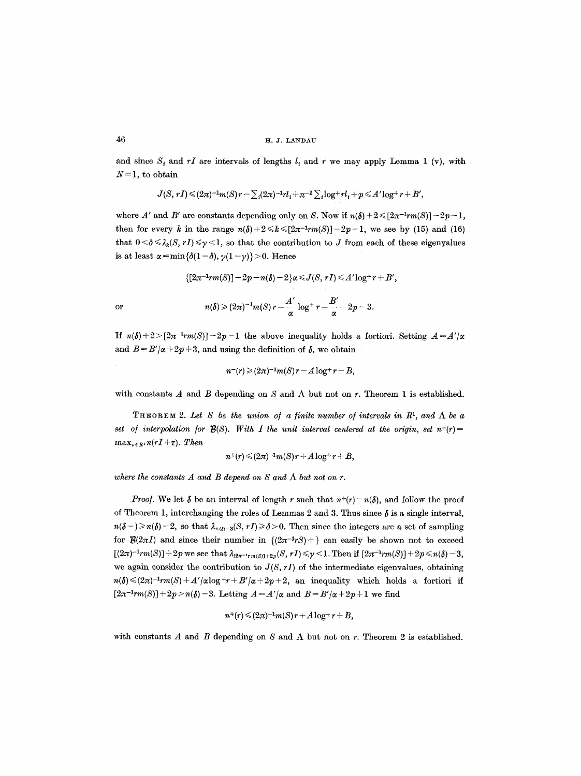and since  $S_t$  and  $rI$  are intervals of lengths  $l_i$  and r we may apply Lemma 1 (v), with  $N = 1$ , to obtain

$$
J(S, rI) \leq (2\pi)^{-1} m(S) r - \sum_i (2\pi)^{-1} r l_i + \pi^{-2} \sum_i \log^+ r l_i + p \leq A' \log^+ r + B',
$$

where A' and B' are constants depending only on S. Now if  $n(\delta) + 2 \leq [2n^{-1}rm(S)] - 2p - 1$ , then for every k in the range  $n(\delta)+2 \le k \le [2\pi^{-1}rm(S)]-2p-1$ , we see by (15) and (16) that  $0 < \delta \leq \lambda_k(S, rI) \leq \gamma < 1$ , so that the contribution to J from each of these eigenvalues is at least  $\alpha = \min\{\delta(1-\delta), \gamma(1-\gamma)\} > 0$ . Hence

$$
\{[2\pi^{-1}rm(S)] - 2p - n(\delta) - 2\} \alpha \le J(S, rI) \le A' \log^+ r + B',
$$
  
or  

$$
n(\delta) \ge (2\pi)^{-1} m(S) r - \frac{A'}{\alpha} \log^+ r - \frac{B'}{\alpha} - 2p - 3.
$$

If  $n(\delta) + 2 > [2\pi^{-1}rm(S)]-2p-1$  the above inequality holds a fortiori. Setting  $A = A'/\alpha$ and  $B = B'/\alpha + 2p + 3$ , and using the definition of  $\delta$ , we obtain

 $n^-(r) \geq (2\pi)^{-1} m(S) r - A \log^+ r - B$ ,

with constants  $A$  and  $B$  depending on  $S$  and  $\Lambda$  but not on  $r$ . Theorem 1 is established.

THEOREM 2. Let S be the union of a finite number of intervals in  $R<sup>1</sup>$ , and  $\Lambda$  be a *set of interpolation for B(S). With I the unit interval centered at the origin, set*  $n+(r)=$  $\max_{\tau \in R^1} n(rI + \tau)$ . Then

$$
n^+(r) \leq (2\pi)^{-1} m(S) r + A \log^+ r + B,
$$

where the constants  $A$  and  $B$  depend on  $S$  and  $\Lambda$  but not on  $r$ .

*Proof.* We let  $\delta$  be an interval of length r such that  $n^+(r) = n(\delta)$ , and follow the proof of Theorem 1, interchanging the roles of Lemmas 2 and 3. Thus since  $\delta$  is a single interval,  $n(\delta-) \geq n(\delta)-2$ , so that  $\lambda_{n(\delta)-3}(S, rI) \geq \delta > 0$ . Then since the integers are a set of sampling for  $\mathcal{B}(2\pi I)$  and since their number in  $\{(2\pi^{-1}rS)+\}$  can easily be shown not to exceed  $[(2\pi)^{-1}rm(S)] + 2p$  we see that  $\lambda_{[2\pi^{-1}rm(S)]+2p}(S, rI) \le \gamma < 1$ . Then if  $[2\pi^{-1}rm(S)] + 2p \le n(\delta) - 3$ , we again consider the contribution to  $J(S, rI)$  of the intermediate eigenvalues, obtaining  $n(\delta) \leq (2\pi)^{-1} \mathit{rm}(S) + A'/\alpha \log \mathit{+r} + B'/\alpha + 2p + 2$ , an inequality which holds a fortiori if  $[2\pi^{-1}rm(S)] + 2p > n(\delta) - 3$ . Letting  $A = A'/\alpha$  and  $B = B'/\alpha + 2p + 1$  we find

$$
n^+(r) \leq (2\pi)^{-1} m(S) r + A \log^+ r + B,
$$

with constants  $A$  and  $B$  depending on  $S$  and  $\Lambda$  but not on  $r$ . Theorem 2 is established.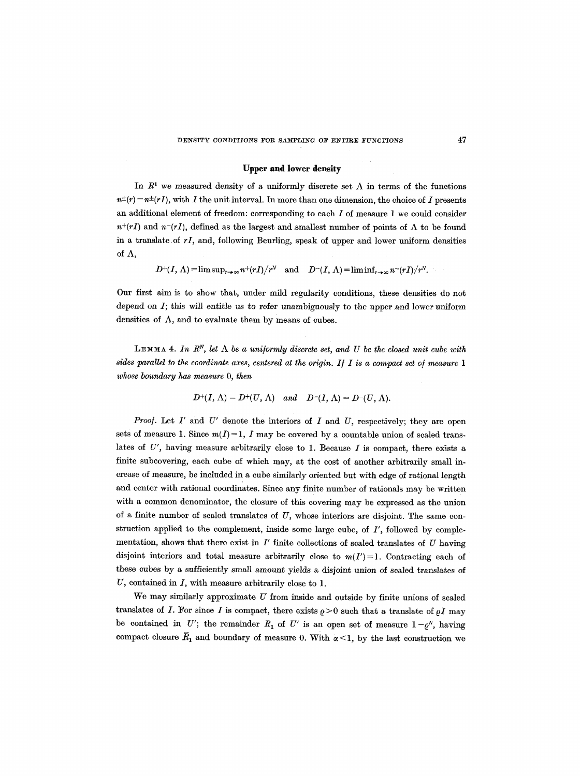# **Upper and lower density**

In  $R<sup>1</sup>$  we measured density of a uniformly discrete set  $\Lambda$  in terms of the functions  $n^{+}(r) = n^{+}(rI)$ , with I the unit interval. In more than one dimension, the choice of I presents an additional element of freedom: corresponding to each  $I$  of measure 1 we could consider  $n^{+}(rI)$  and  $n^{-}(rI)$ , defined as the largest and smallest number of points of  $\Lambda$  to be found in a translate of *rI,* and, following Beurling, speak of upper and lower uniform densities of  $\Lambda$ ,

 $D^+(I, \Lambda) = \limsup_{r \to \infty} n^+(rI)/r^N$  and  $D^-(I, \Lambda) = \liminf_{r \to \infty} n^-(rI)/r^N$ .

Our first aim is to show that, under mild regularity conditions, these densities do not depend on I; this will entitle us to refer unambiguously to the upper and lower uniform densities of  $\Lambda$ , and to evaluate them by means of cubes.

**LEMMA 4.** In  $R^N$ , let  $\Lambda$  be a uniformly discrete set, and U be the closed unit cube with *sides parallel to the coordinate axes, centered at the origin. If I is a compact set of measure 1 whose boundary has measure O, then* 

$$
D^+(I,\Lambda)=D^+(U,\Lambda)\quad\text{and}\quad D^-(I,\Lambda)=D^-(U,\Lambda).
$$

*Proof.* Let  $I'$  and  $U'$  denote the interiors of  $I$  and  $U$ , respectively; they are open sets of measure 1. Since  $m(I)=1$ , I may be covered by a countable union of scaled translates of  $U'$ , having measure arbitrarily close to 1. Because  $I$  is compact, there exists a finite subcovering, each cube of which may, at the cost of another arbitrarily small increase of measure, be included in a cube similarly oriented but with edge of rational length and center with rational coordinates. Since any finite number of rationals may be written with a common denominator, the closure of this covering may be expressed as the union of a finite number of scaled translates of  $U$ , whose interiors are disjoint. The same construction applied to the complement, inside some large cube, of *I',* followed by complementation, shows that there exist in *I'* finite collections of scaled translates of U having disjoint interiors and total measure arbitrarily close to  $m(I')=1$ . Contracting each of these cubes by a sufficiently small amount yields a disjoint union of scaled translates of U, contained in I, with measure arbitrarily close to 1.

We may similarly approximate  $U$  from inside and outside by finite unions of scaled translates of I. For since I is compact, there exists  $\rho > 0$  such that a translate of  $\rho I$  may be contained in U'; the remainder  $R_1$  of U' is an open set of measure  $1-\varrho^N$ , having compact closure  $\overline{R}_1$  and boundary of measure 0. With  $\alpha$ <1, by the last construction we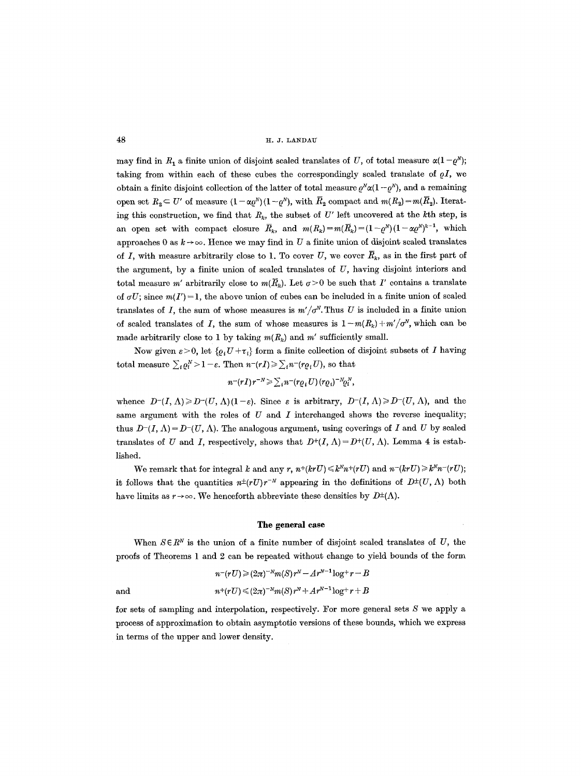may find in  $R_1$  a finite union of disjoint scaled translates of U, of total measure  $\alpha(1-\rho^N)$ ; taking from within each of these cubes the correspondingly scaled translate of  $\rho I$ , we obtain a finite disjoint collection of the latter of total measure  $\varrho^N \alpha(1-\varrho^N)$ , and a remaining open set  $R_2 \subset U'$  of measure  $(1 - \alpha \varrho^N)(1 - \varrho^N)$ , with  $\overline{R}_2$  compact and  $m(R_2) = m(\overline{R}_2)$ . Iterating this construction, we find that  $R_k$ , the subset of U' left uncovered at the kth step, is an open set with compact closure  $\bar{R}_k$ , and  $m(R_k)=m(\bar{R}_k)=(1-\rho^N)(1-\alpha \rho^N)^{k-1}$ , which approaches 0 as  $k \rightarrow \infty$ . Hence we may find in U a finite union of disjoint scaled translates of I, with measure arbitrarily close to 1. To cover  $U$ , we cover  $\overline{R}_k$ , as in the first part of the argument, by a finite union of scaled translates of  $U$ , having disjoint interiors and total measure m' arbitrarily close to  $m(\overline{R}_k)$ . Let  $\sigma > 0$  be such that I' contains a translate of  $\sigma U$ ; since  $m(I') = 1$ , the above union of cubes can be included in a finite union of scaled translates of I, the sum of whose measures is  $m'/\sigma^N$ . Thus U is included in a finite union of scaled translates of I, the sum of whose measures is  $1-m(R_k) + m'/\sigma^N$ , which can be made arbitrarily close to 1 by taking  $m(R_k)$  and  $m'$  sufficiently small.

Now given  $\varepsilon > 0$ , let  $\{ \varrho_i U + \tau_i \}$  form a finite collection of disjoint subsets of I having total measure  $\sum_i \varrho_i^N > 1 - \varepsilon$ . Then  $n^{-}(rI) \geq \sum_i n^{-}(r \varrho_i U)$ , so that

$$
n^-(rI)r^{-N}\geqslant \sum_i n^-(r\varrho_i U)(r\varrho_i)^{-N}\varrho_i^N,
$$

whence  $D^{-1}(I, \Lambda) \ge D^{-1}(U, \Lambda)(1-\varepsilon)$ . Since  $\varepsilon$  is arbitrary,  $D^{-1}(I, \Lambda) \ge D^{-1}(U, \Lambda)$ , and the same argument with the roles of  $U$  and  $I$  interchanged shows the reverse inequality; thus  $D^{-1}(I, \Lambda) = D^{-1}(U, \Lambda)$ . The analogous argument, using coverings of I and U by scaled translates of U and I, respectively, shows that  $D^+(I, \Lambda) = D^+(U, \Lambda)$ . Lemma 4 is established.

We remark that for integral k and any r,  $n+(krU) \le k^N n^+(rU)$  and  $n-(krU) \ge k^N n^-(rU)$ ; it follows that the quantities  $n^{\pm}(rU)r^{-N}$  appearing in the definitions of  $D^{\pm}(U, \Lambda)$  both have limits as  $r \to \infty$ . We henceforth abbreviate these densities by  $D^{\pm}(\Lambda)$ .

#### **The general case**

When  $S \in \mathbb{R}^N$  is the union of a finite number of disjoint scaled translates of U, the proofs of Theorems 1 and 2 can be repeated without change to yield bounds of the form

$$
n^{-}(rU) \geqslant (2\pi)^{-N}m(S)r^{N} - Ar^{N-1}\log^{+}r - B
$$
  
and  

$$
n^{+}(rU) \leqslant (2\pi)^{-N}m(S)r^{N} + Ar^{N-1}\log^{+}r + B
$$

for sets of sampling and interpolation, respectively. For more general sets S we apply a process of approximation to obtain asymptotic versions of these bounds, which we express in terms of the upper and lower density.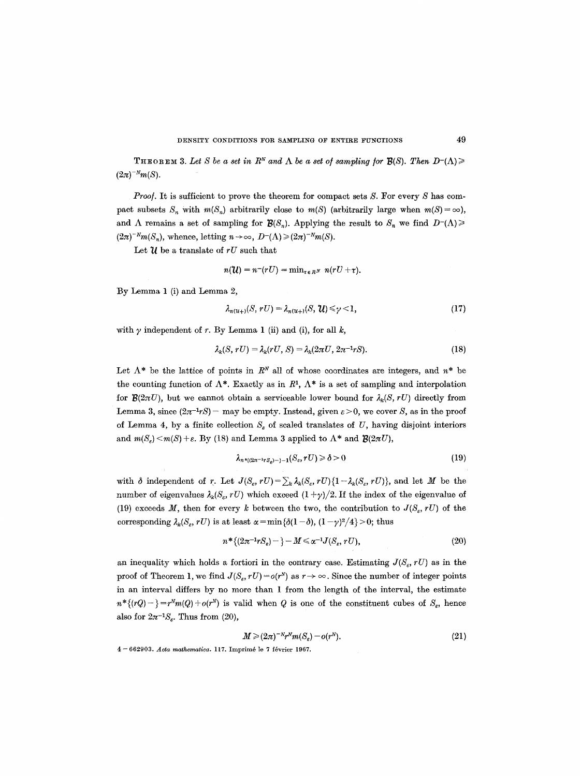**THEOREM 3.** Let S be a set in  $R^N$  and  $\Lambda$  be a set of sampling for  $B(S)$ . Then  $D^{-1}(\Lambda) \geq 0$  $(2\pi)^{-N}m(S).$ 

*Proof.* It is sufficient to prove the theorem for compact sets S. For every S has compact subsets  $S_n$  with  $m(S_n)$  arbitrarily close to  $m(S)$  (arbitrarily large when  $m(S) = \infty$ ), and  $\Lambda$  remains a set of sampling for  $\mathcal{B}(S_n)$ . Applying the result to  $S_n$  we find  $D^{-1}(\Lambda) \geq 0$  $(2\pi)^{-N}m(S_n)$ , whence, letting  $n\to\infty$ ,  $D^{-}(\Lambda)\geq (2\pi)^{-N}m(S)$ .

Let  $\mathcal U$  be a translate of  $rU$  such that

$$
n(\mathcal{U})=n^-(rU)=\min_{\tau\in R^N} n(rU+\tau).
$$

By Lemma **1 (i)** and Lemma **2,** 

$$
\lambda_{n(u+)}(S, rU) = \lambda_{n(u+)}(S, \mathcal{U}) \leq \gamma < 1,\tag{17}
$$

with  $\gamma$  independent of r. By Lemma 1 (ii) and (i), for all  $k$ ,

$$
\lambda_k(S, rU) = \lambda_k(rU, S) = \lambda_k(2\pi U, 2\pi^{-1}rS). \tag{18}
$$

Let  $\Lambda^*$  be the lattice of points in  $R^N$  all of whose coordinates are integers, and  $n^*$  be the counting function of  $\Lambda^*$ . Exactly as in  $R^1$ ,  $\Lambda^*$  is a set of sampling and interpolation for  $\mathcal{B}(2\pi U)$ , but we cannot obtain a serviceable lower bound for  $\lambda_k(S, rU)$  directly from Lemma 3, since  $(2\pi^{-1}rS)$  - may be empty. Instead, given  $\varepsilon > 0$ , we cover S, as in the proof of Lemma 4, by a finite collection  $S_{\varepsilon}$  of scaled translates of U, having disjoint interiors and  $m(S_{\varepsilon}) < m(S) + \varepsilon$ . By (18) and Lemma 3 applied to  $\Lambda^*$  and  $\mathcal{B}(2\pi U)$ ,

$$
\lambda_{n^{*}((2n^{-1}rs_{s})-\frac{1}{2}-1)}(S_{s},rU)\geq \delta>0
$$
\n(19)

with  $\delta$  independent of r. Let  $J(S_e, rU)=\sum_k \lambda_k(S_e, rU)\{1-\lambda_k(S_e, rU)\}\,$  and let M be the number of eigenvalues  $\lambda_k(S_{\varepsilon}, rU)$  which exceed  $(1 + \gamma)/2$ . If the index of the eigenvalue of (19) exceeds M, then for every k between the two, the contribution to  $J(S_{\varepsilon}, rU)$  of the corresponding  $\lambda_k(S_e, rU)$  is at least  $\alpha = \min{\{\delta(1-\delta), (1-\gamma)^2/4\}} > 0$ ; thus

$$
n^* \{ (2\pi^{-1} r S_{\varepsilon}) - \} - M \leq \alpha^{-1} J(S_{\varepsilon}, r U), \tag{20}
$$

an inequality which holds a fortiori in the contrary case. Estimating  $J(S_{\varepsilon}, rU)$  as in the proof of Theorem 1, we find  $J(S_{\varepsilon}, rU) = o(r^N)$  as  $r \to \infty$ . Since the number of integer points in an interval differs by no more than 1 from the length of the interval, the estimate  $n^*\{(rQ)-\}=r^Nm(Q)+o(r^N)$  is valid when Q is one of the constituent cubes of  $S_{\varepsilon}$ , hence also for  $2\pi^{-1}S_{\epsilon}$ . Thus from (20),

$$
M \geqslant (2\pi)^{-N} r^N m(S_{\varepsilon}) - o(r^N). \tag{21}
$$

4 -- 662903. *Acta mathematica.* 117. Imprlm6 le 7 f6vrier 1967.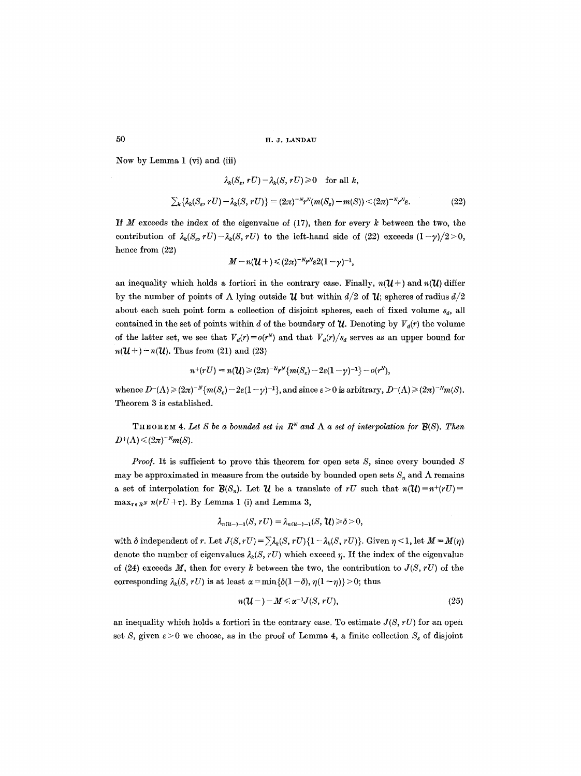:Now by Lemma 1 (vi) and (iii)

$$
\lambda_k(S_\varepsilon, rU) - \lambda_k(S, rU) \ge 0 \quad \text{for all } k,
$$
  

$$
\sum_k \{\lambda_k(S_\varepsilon, rU) - \lambda_k(S, rU)\} = (2\pi)^{-N}r^N(m(S_\varepsilon) - m(S)) < (2\pi)^{-N}r^N\varepsilon.
$$
 (22)

If  $M$  exceeds the index of the eigenvalue of (17), then for every  $k$  between the two, the contribution of  $\lambda_k(S_\varepsilon, rU) - \lambda_k(S, rU)$  to the left-hand side of (22) exceeds  $(1-\gamma)/2 > 0$ , hence from  $(22)$ 

$$
M-n(\mathcal{U}+)\leq (2\pi)^{-N}r^N\varepsilon 2(1-\gamma)^{-1},
$$

an inequality which holds a fortiori in the contrary case. Finally,  $n(\mathcal{U} +)$  and  $n(\mathcal{U})$  differ by the number of points of  $\Lambda$  lying outside  $\mathcal U$  but within  $d/2$  of  $\mathcal U$ ; spheres of radius  $d/2$ about each such point form a collection of disjoint spheres, each of fixed volume *sa,* all contained in the set of points within d of the boundary of  $\mathcal{U}$ . Denoting by  $V_d(r)$  the volume of the latter set, we see that  $V_d(r) = o(r^N)$  and that  $V_d(r)/s_d$  serves as an upper bound for  $n(\mathcal{U}^+)-n(\mathcal{U})$ . Thus from (21) and (23)

$$
n^{+}(rU) = n(\mathcal{U}) \geq (2\pi)^{-N} r^{N} \{m(S_e) - 2\varepsilon(1-\gamma)^{-1}\} - o(r^{N}),
$$

whence  $D^{-}(\Lambda) \geqslant (2\pi)^{-N} \{m(S_{\varepsilon}) - 2\varepsilon(1-\gamma)^{-1}\}\,$ , and since  $\varepsilon > 0$  is arbitrary,  $D^{-}(\Lambda) \geqslant (2\pi)^{-N}m(S)$ . Theorem 3 is established.

THEOREM 4. Let S be a bounded set in  $R^N$  and  $\Lambda$  a set of interpolation for  $\mathcal{B}(S)$ . Then  $D^+(\Lambda) \leq (2\pi)^{-N}m(S).$ 

*Proof.* It is sufficient to prove this theorem for open sets S, since every bounded S may be approximated in measure from the outside by bounded open sets  $S_n$  and  $\Lambda$  remains a set of interpolation for  $\mathcal{B}(S_n)$ . Let  $\mathcal{U}$  be a translate of rU such that  $n(\mathcal{U})=n+(rU)=n$  $\max_{\tau \in R^N} n(rU+\tau)$ . By Lemma 1 (i) and Lemma 3,

$$
\lambda_{n(u-) - 1}(S, rU) = \lambda_{n(u-) - 1}(S, \mathcal{U}) \geq \delta > 0,
$$

with  $\delta$  independent of r. Let  $J(S, rU) = \sum \lambda_k(S, rU)\{1-\lambda_k(S, rU)\}\$ . Given  $\eta \leq 1$ , let  $M = M(\eta)$ denote the number of eigenvalues  $\lambda_k(S, rU)$  which exceed  $\eta$ . If the index of the eigenvalue of (24) exceeds M, then for every k between the two, the contribution to  $J(S, rU)$  of the corresponding  $\lambda_k(S, rU)$  is at least  $\alpha = \min{\{\delta(1-\delta), \eta(1-\eta)\}} > 0$ ; thus

$$
n(\mathcal{U}-)-M\leqslant \alpha^{-1}J(S,rU), \qquad (25)
$$

an inequality which holds a fortiori in the contrary case. To estimate  $J(S, rU)$  for an open set S, given  $\varepsilon > 0$  we choose, as in the proof of Lemma 4, a finite collection  $S_{\varepsilon}$  of disjoint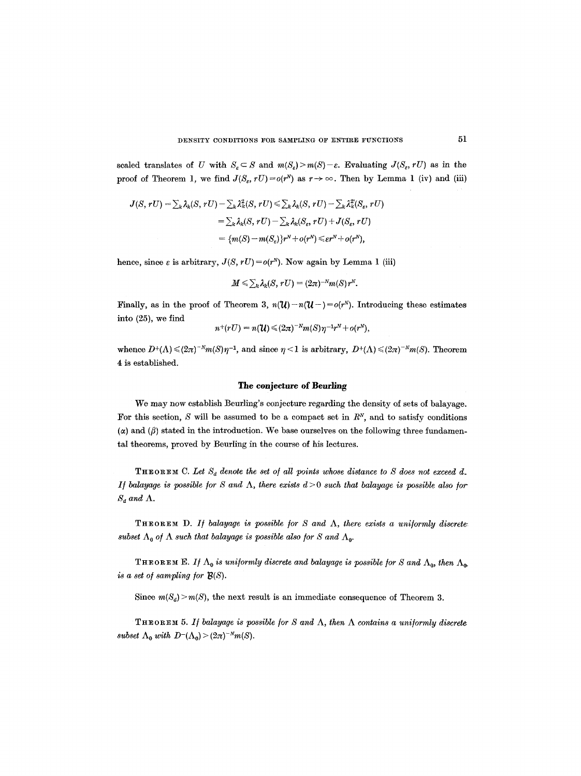scaled translates of U with  $S_{\varepsilon} \subset S$  and  $m(S_{\varepsilon}) > m(S) - \varepsilon$ . Evaluating  $J(S_{\varepsilon}, rU)$  as in the proof of Theorem 1, we find  $J(S_c, rU) = o(r^N)$  as  $r \to \infty$ . Then by Lemma 1 (iv) and (iii)

$$
J(S, rU) = \sum_k \lambda_k(S, rU) - \sum_k \lambda_k^2(S, rU) \leq \sum_k \lambda_k(S, rU) - \sum_k \lambda_k^2(S_e, rU)
$$
  
= 
$$
\sum_k \lambda_k(S, rU) - \sum_k \lambda_k(S_e, rU) + J(S_e, rU)
$$
  
= 
$$
\{m(S) - m(S_e)\}r^N + o(r^N) \leq \varepsilon r^N + o(r^N),
$$

hence, since  $\varepsilon$  is arbitrary,  $J(S, rU) = o(r^N)$ . Now again by Lemma 1 (iii)

$$
M \leq \sum_{k} \lambda_k(S, rU) = (2\pi)^{-N} m(S) r^N.
$$

Finally, as in the proof of Theorem 3,  $n(\mathcal{U})-n(\mathcal{U}-)=o(r^N)$ . Introducing these estimates into (25), we find

$$
n^+(rU)=n(\mathcal{U})\leqslant (2\pi)^{-N}m(S)\eta^{-1}r^N+o(r^N),
$$

whence  $D^+(\Lambda) \leq (2\pi)^{-N}m(S)\eta^{-1}$ , and since  $\eta < 1$  is arbitrary,  $D^+(\Lambda) \leq (2\pi)^{-N}m(S)$ . Theorem 4 is established.

# **The conjecture of Beurling**

We may now establish Beurling's conjecture regarding the density of sets of balayage. For this section,  $S$  will be assumed to be a compact set in  $R<sup>N</sup>$ , and to satisfy conditions  $(\alpha)$  and  $(\beta)$  stated in the introduction. We base ourselves on the following three fundamental theorems, proved by Beurling in the course of his lectures.

**THEOREM** C. Let  $S_d$  denote the set of all points whose distance to S does not exceed d. *1f balayage is possible for S and*  $\Lambda$ *, there exists d > 0 such that balayage is possible also for*  $S_d$  and  $\Lambda$ .

THEOREM D. If balayage is possible for  $S$  and  $\Lambda$ , there exists a uniformly discrete: subset  $\Lambda_0$  of  $\Lambda$  such that balayage is possible also for S and  $\Lambda_0$ .

THEOREM E. *If*  $\Lambda_0$  is uniformly discrete and balayage is possible for S and  $\Lambda_0$ , then  $\Lambda_0$ . *is a set o/ sampling /or B(S).* 

Since  $m(S_d) > m(S)$ , the next result is an immediate consequence of Theorem 3.

THEOREM 5. If balayage is possible for S and  $\Lambda$ , then  $\Lambda$  contains a uniformly discrete *subset*  $\Lambda_0$  *with*  $D^{-}(\Lambda_0)$  >  $(2\pi)^{-N}m(S)$ .